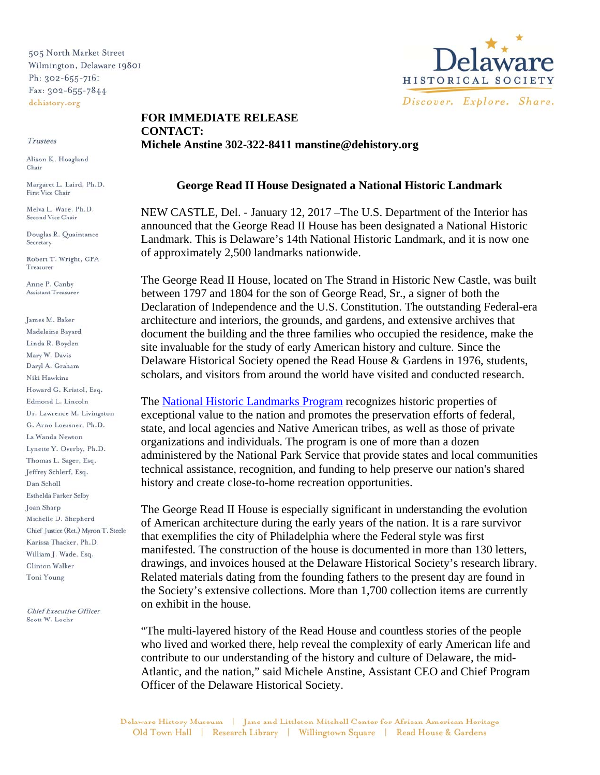505 North Market Street Wilmington, Delaware 19801 Ph: 302-655-7161 Fax: 302-655-7844 dehistory.org

Trustees

Alison K. Hoagland Chair

Margaret L. Laird, Ph.D. First Vice Chair

Melva L. Ware, Ph.D. Second Vice Chair

Douglas R. Quaintance Secretary

Robert T. Wright, CPA Treasurer

Anne P. Canby Assistant Treasurer

James M. Baker Madeleine Bayard Linda R. Boyden Mary W. Davis Daryl A. Graham Niki Hawkins Howard G. Kristol, Esq. Edmond L. Lincoln Dr. Lawrence M. Livingston G. Arno Loessner, Ph.D. La Wanda Newton Lynette Y. Overby, Ph.D. Thomas L. Sager, Esq. Jeffrey Schlerf, Esq. Dan Scholl Esthelda Parker Selby Joan Sharp Michelle D. Shepherd Chief Justice (Ret.) Myron T. Steele Karissa Thacker, Ph.D. William J. Wade, Esq. Clinton Walker Toni Young

**Chief Executive Officer** Scott W. Lochr



## **FOR IMMEDIATE RELEASE CONTACT: Michele Anstine 302-322-8411 manstine@dehistory.org**

## **George Read II House Designated a National Historic Landmark**

NEW CASTLE, Del. - January 12, 2017 –The U.S. Department of the Interior has announced that the George Read II House has been designated a National Historic Landmark. This is Delaware's 14th National Historic Landmark, and it is now one of approximately 2,500 landmarks nationwide.

The George Read II House, located on The Strand in Historic New Castle, was built between 1797 and 1804 for the son of George Read, Sr., a signer of both the Declaration of Independence and the U.S. Constitution. The outstanding Federal-era architecture and interiors, the grounds, and gardens, and extensive archives that document the building and the three families who occupied the residence, make the site invaluable for the study of early American history and culture. Since the Delaware Historical Society opened the Read House & Gardens in 1976, students, scholars, and visitors from around the world have visited and conducted research.

The National Historic Landmarks Program recognizes historic properties of exceptional value to the nation and promotes the preservation efforts of federal, state, and local agencies and Native American tribes, as well as those of private organizations and individuals. The program is one of more than a dozen administered by the National Park Service that provide states and local communities technical assistance, recognition, and funding to help preserve our nation's shared history and create close-to-home recreation opportunities.

The George Read II House is especially significant in understanding the evolution of American architecture during the early years of the nation. It is a rare survivor that exemplifies the city of Philadelphia where the Federal style was first manifested. The construction of the house is documented in more than 130 letters, drawings, and invoices housed at the Delaware Historical Society's research library. Related materials dating from the founding fathers to the present day are found in the Society's extensive collections. More than 1,700 collection items are currently on exhibit in the house.

"The multi-layered history of the Read House and countless stories of the people who lived and worked there, help reveal the complexity of early American life and contribute to our understanding of the history and culture of Delaware, the mid-Atlantic, and the nation," said Michele Anstine, Assistant CEO and Chief Program Officer of the Delaware Historical Society.